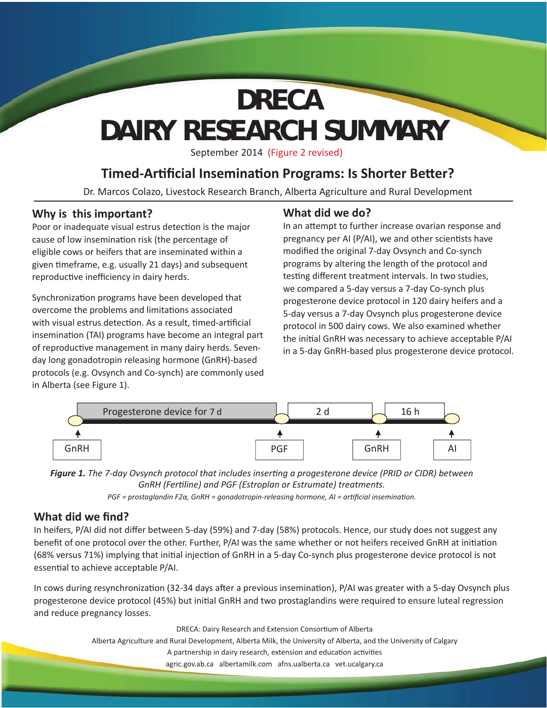# **DAIRY RESEARCH SUMMARY DRECA**

September 2014 (Figure 2 revised)

## **Timed-Artificial Insemination Programs: Is Shorter Better?**

Dr. Marcos Colazo, Livestock Research Branch, Alberta Agriculture and Rural Development

## **Why is this important?**

Poor or inadequate visual estrus detection is the major cause of low insemination risk (the percentage of eligible cows or heifers that are inseminated within a given timeframe, e.g. usually 21 days) and subsequent reproductive inefficiency in dairy herds.

Synchronization programs have been developed that overcome the problems and limitations associated with visual estrus detection. As a result, timed-artificial insemination (TAI) programs have become an integral part of reproductive management in many dairy herds. Sevenday long gonadotropin releasing hormone (GnRH)-based protocols (e.g. Ovsynch and Co-synch) are commonly used in Alberta (see Figure 1).

## **What did we do?**

In an attempt to further increase ovarian response and pregnancy per AI (P/AI), we and other scientists have modified the original 7-day Ovsynch and Co-synch programs by altering the length of the protocol and testing different treatment intervals. In two studies, we compared a 5-day versus a 7-day Co-synch plus progesterone device protocol in 120 dairy heifers and a 5-day versus a 7-day Ovsynch plus progesterone device protocol in 500 dairy cows. We also examined whether the initial GnRH was necessary to achieve acceptable P/AI in a 5-day GnRH-based plus progesterone device protocol.



*Figure 1. The 7-day Ovsynch protocol that includes inserti ng a progesterone device (PRID or CIDR) between GnRH (Ferti line) and PGF (Estroplan or Estrumate) treatments.* 

*PGF* = prostaglandin F2α, GnRH = gonadotropin-releasing hormone, AI = artificial insemination.

### **What did we find?**

In heifers, P/AI did not differ between 5-day (59%) and 7-day (58%) protocols. Hence, our study does not suggest any benefit of one protocol over the other. Further, P/AI was the same whether or not heifers received GnRH at initiation (68% versus 71%) implying that initial injection of GnRH in a 5-day Co-synch plus progesterone device protocol is not essential to achieve acceptable P/AI.

In cows during resynchronization (32-34 days after a previous insemination), P/AI was greater with a 5-day Ovsynch plus progesterone device protocol (45%) but initial GnRH and two prostaglandins were required to ensure luteal regression and reduce pregnancy losses.

DRECA: Dairy Research and Extension Consortium of Alberta

Alberta Agriculture and Rural Development, Alberta Milk, the University of Alberta, and the University of Calgary

A partnership in dairy research, extension and education activities

agric.gov.ab.ca albertamilk.com afns.ualberta.ca vet.ucalgary.ca